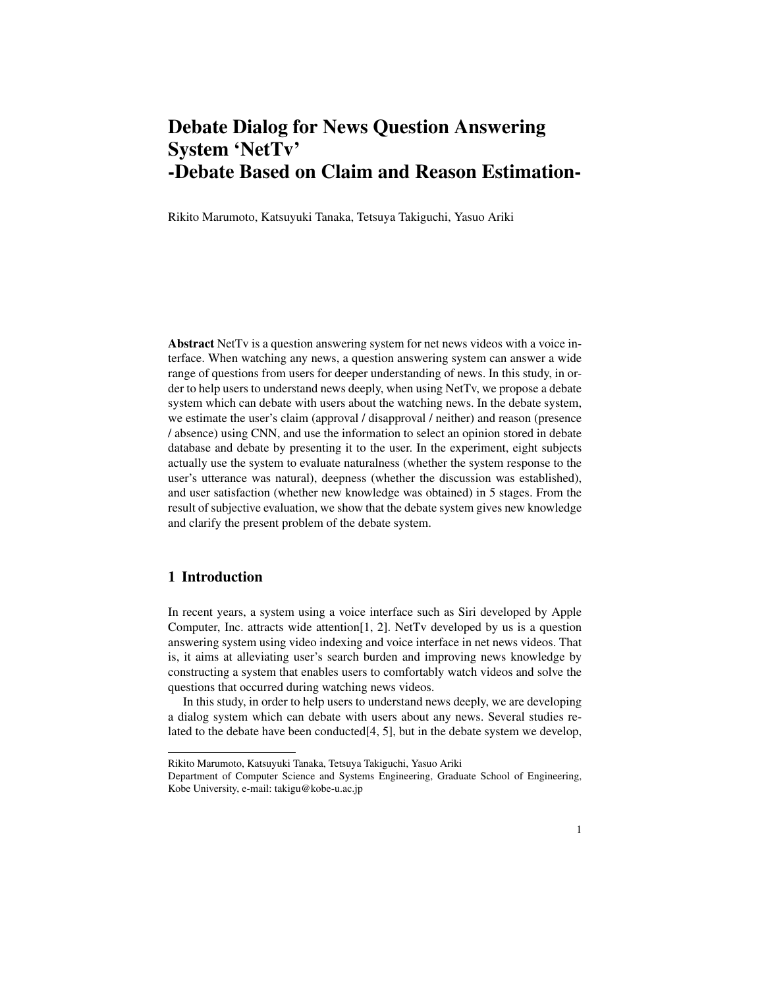# Debate Dialog for News Question Answering System 'NetTv' -Debate Based on Claim and Reason Estimation-

Rikito Marumoto, Katsuyuki Tanaka, Tetsuya Takiguchi, Yasuo Ariki

Abstract NetTv is a question answering system for net news videos with a voice interface. When watching any news, a question answering system can answer a wide range of questions from users for deeper understanding of news. In this study, in order to help users to understand news deeply, when using NetTv, we propose a debate system which can debate with users about the watching news. In the debate system, we estimate the user's claim (approval / disapproval / neither) and reason (presence / absence) using CNN, and use the information to select an opinion stored in debate database and debate by presenting it to the user. In the experiment, eight subjects actually use the system to evaluate naturalness (whether the system response to the user's utterance was natural), deepness (whether the discussion was established), and user satisfaction (whether new knowledge was obtained) in 5 stages. From the result of subjective evaluation, we show that the debate system gives new knowledge and clarify the present problem of the debate system.

# 1 Introduction

In recent years, a system using a voice interface such as Siri developed by Apple Computer, Inc. attracts wide attention[1, 2]. NetTv developed by us is a question answering system using video indexing and voice interface in net news videos. That is, it aims at alleviating user's search burden and improving news knowledge by constructing a system that enables users to comfortably watch videos and solve the questions that occurred during watching news videos.

In this study, in order to help users to understand news deeply, we are developing a dialog system which can debate with users about any news. Several studies related to the debate have been conducted  $[4, 5]$ , but in the debate system we develop,

Rikito Marumoto, Katsuyuki Tanaka, Tetsuya Takiguchi, Yasuo Ariki

Department of Computer Science and Systems Engineering, Graduate School of Engineering, Kobe University, e-mail: takigu@kobe-u.ac.jp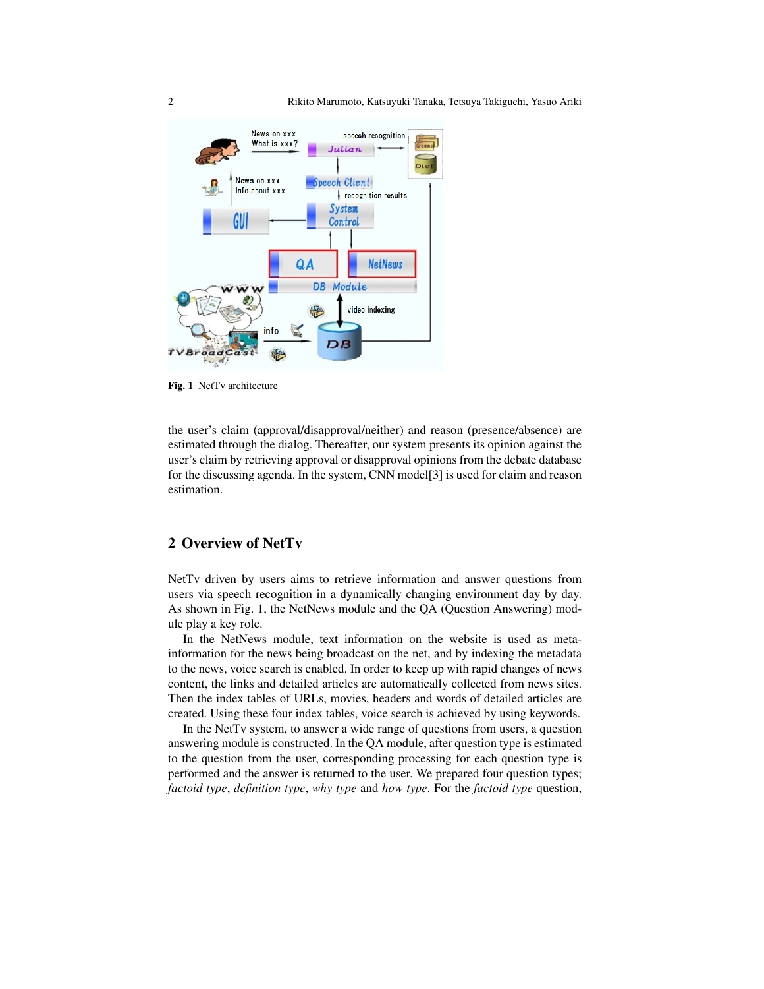

Fig. 1 NetTv architecture

the user's claim (approval/disapproval/neither) and reason (presence/absence) are estimated through the dialog. Thereafter, our system presents its opinion against the user's claim by retrieving approval or disapproval opinions from the debate database for the discussing agenda. In the system, CNN model[3] is used for claim and reason estimation.

## 2 Overview of NetTv

NetTv driven by users aims to retrieve information and answer questions from users via speech recognition in a dynamically changing environment day by day. As shown in Fig. 1, the NetNews module and the QA (Question Answering) module play a key role.

In the NetNews module, text information on the website is used as metainformation for the news being broadcast on the net, and by indexing the metadata to the news, voice search is enabled. In order to keep up with rapid changes of news content, the links and detailed articles are automatically collected from news sites. Then the index tables of URLs, movies, headers and words of detailed articles are created. Using these four index tables, voice search is achieved by using keywords.

In the NetTv system, to answer a wide range of questions from users, a question answering module is constructed. In the QA module, after question type is estimated to the question from the user, corresponding processing for each question type is performed and the answer is returned to the user. We prepared four question types; *factoid type*, *definition type*, *why type* and *how type*. For the *factoid type* question,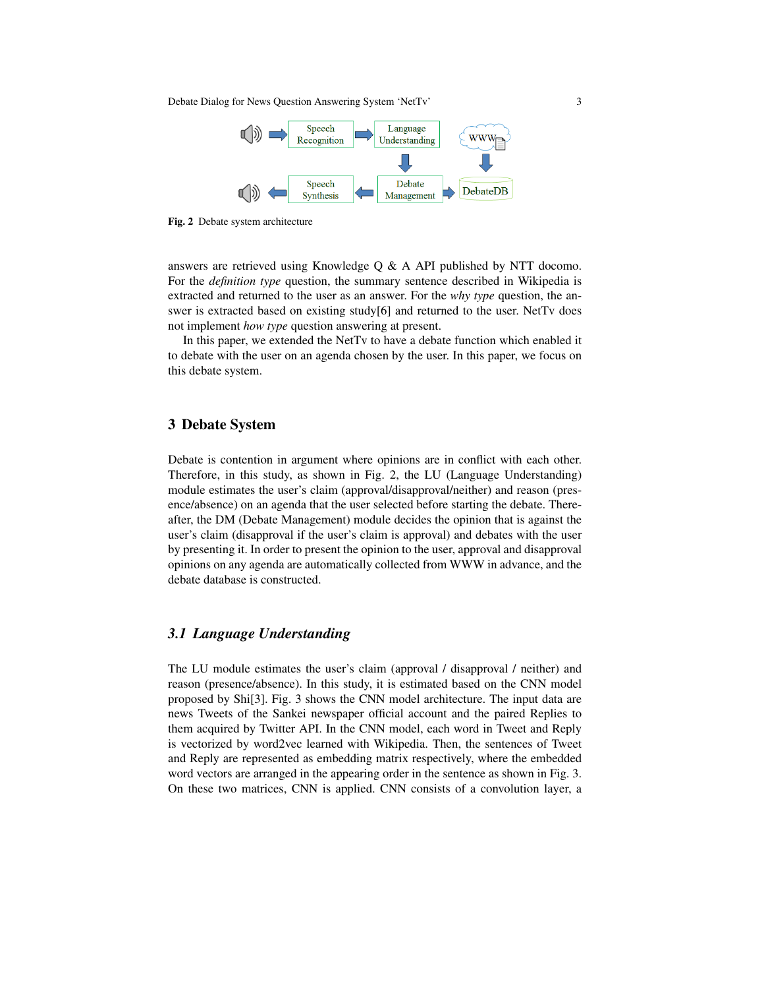Debate Dialog for News Question Answering System 'NetTv' 3



Fig. 2 Debate system architecture

answers are retrieved using Knowledge Q & A API published by NTT docomo. For the *definition type* question, the summary sentence described in Wikipedia is extracted and returned to the user as an answer. For the *why type* question, the answer is extracted based on existing study[6] and returned to the user. NetTv does not implement *how type* question answering at present.

In this paper, we extended the NetTv to have a debate function which enabled it to debate with the user on an agenda chosen by the user. In this paper, we focus on this debate system.

## 3 Debate System

Debate is contention in argument where opinions are in conflict with each other. Therefore, in this study, as shown in Fig. 2, the LU (Language Understanding) module estimates the user's claim (approval/disapproval/neither) and reason (presence/absence) on an agenda that the user selected before starting the debate. Thereafter, the DM (Debate Management) module decides the opinion that is against the user's claim (disapproval if the user's claim is approval) and debates with the user by presenting it. In order to present the opinion to the user, approval and disapproval opinions on any agenda are automatically collected from WWW in advance, and the debate database is constructed.

## *3.1 Language Understanding*

The LU module estimates the user's claim (approval / disapproval / neither) and reason (presence/absence). In this study, it is estimated based on the CNN model proposed by Shi[3]. Fig. 3 shows the CNN model architecture. The input data are news Tweets of the Sankei newspaper official account and the paired Replies to them acquired by Twitter API. In the CNN model, each word in Tweet and Reply is vectorized by word2vec learned with Wikipedia. Then, the sentences of Tweet and Reply are represented as embedding matrix respectively, where the embedded word vectors are arranged in the appearing order in the sentence as shown in Fig. 3. On these two matrices, CNN is applied. CNN consists of a convolution layer, a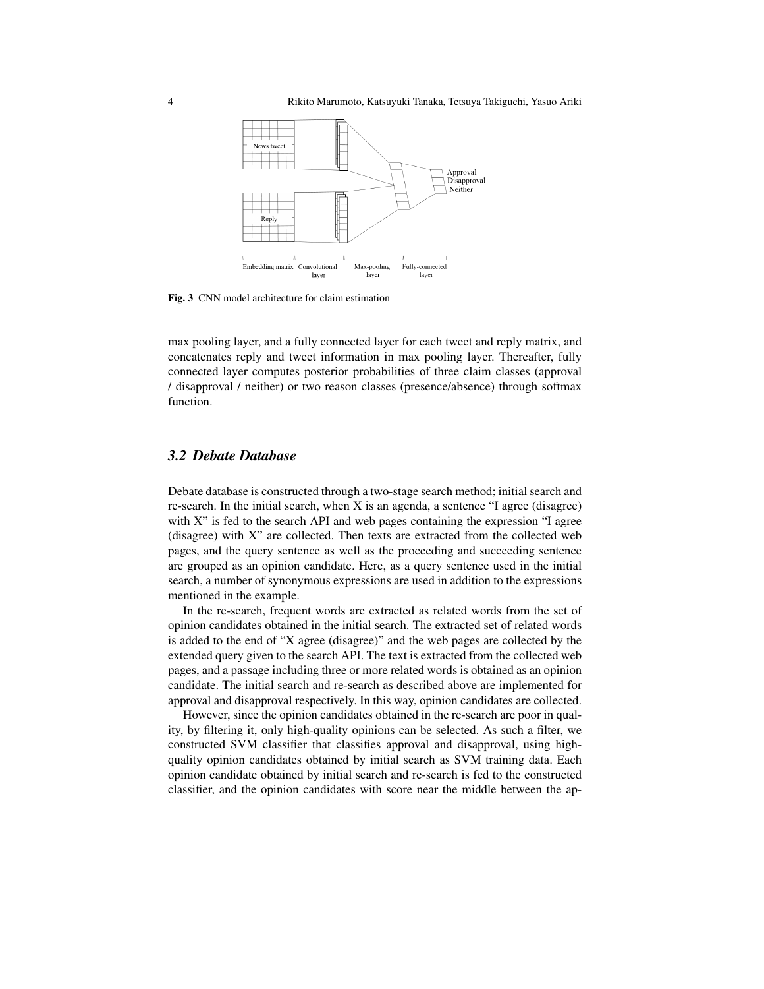

Fig. 3 CNN model architecture for claim estimation

max pooling layer, and a fully connected layer for each tweet and reply matrix, and concatenates reply and tweet information in max pooling layer. Thereafter, fully connected layer computes posterior probabilities of three claim classes (approval / disapproval / neither) or two reason classes (presence/absence) through softmax function.

# *3.2 Debate Database*

Debate database is constructed through a two-stage search method; initial search and re-search. In the initial search, when X is an agenda, a sentence "I agree (disagree) with X" is fed to the search API and web pages containing the expression "I agree (disagree) with X" are collected. Then texts are extracted from the collected web pages, and the query sentence as well as the proceeding and succeeding sentence are grouped as an opinion candidate. Here, as a query sentence used in the initial search, a number of synonymous expressions are used in addition to the expressions mentioned in the example.

In the re-search, frequent words are extracted as related words from the set of opinion candidates obtained in the initial search. The extracted set of related words is added to the end of "X agree (disagree)" and the web pages are collected by the extended query given to the search API. The text is extracted from the collected web pages, and a passage including three or more related words is obtained as an opinion candidate. The initial search and re-search as described above are implemented for approval and disapproval respectively. In this way, opinion candidates are collected.

However, since the opinion candidates obtained in the re-search are poor in quality, by filtering it, only high-quality opinions can be selected. As such a filter, we constructed SVM classifier that classifies approval and disapproval, using highquality opinion candidates obtained by initial search as SVM training data. Each opinion candidate obtained by initial search and re-search is fed to the constructed classifier, and the opinion candidates with score near the middle between the ap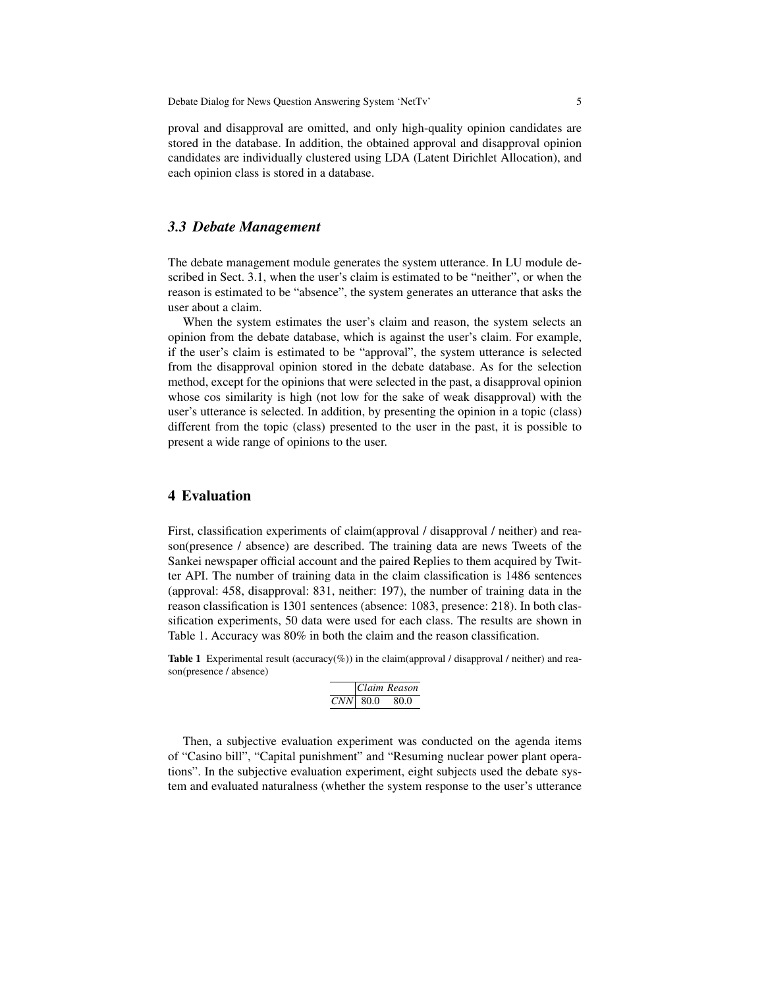proval and disapproval are omitted, and only high-quality opinion candidates are stored in the database. In addition, the obtained approval and disapproval opinion candidates are individually clustered using LDA (Latent Dirichlet Allocation), and each opinion class is stored in a database.

#### *3.3 Debate Management*

The debate management module generates the system utterance. In LU module described in Sect. 3.1, when the user's claim is estimated to be "neither", or when the reason is estimated to be "absence", the system generates an utterance that asks the user about a claim.

When the system estimates the user's claim and reason, the system selects an opinion from the debate database, which is against the user's claim. For example, if the user's claim is estimated to be "approval", the system utterance is selected from the disapproval opinion stored in the debate database. As for the selection method, except for the opinions that were selected in the past, a disapproval opinion whose cos similarity is high (not low for the sake of weak disapproval) with the user's utterance is selected. In addition, by presenting the opinion in a topic (class) different from the topic (class) presented to the user in the past, it is possible to present a wide range of opinions to the user.

# 4 Evaluation

First, classification experiments of claim(approval / disapproval / neither) and reason(presence / absence) are described. The training data are news Tweets of the Sankei newspaper official account and the paired Replies to them acquired by Twitter API. The number of training data in the claim classification is 1486 sentences (approval: 458, disapproval: 831, neither: 197), the number of training data in the reason classification is 1301 sentences (absence: 1083, presence: 218). In both classification experiments, 50 data were used for each class. The results are shown in Table 1. Accuracy was 80% in both the claim and the reason classification.

**Table 1** Experimental result (accuracy(%)) in the claim(approval / disapproval / neither) and reason(presence / absence)

|          | Claim Reason |
|----------|--------------|
| VNI 80.0 | ו וא         |

Then, a subjective evaluation experiment was conducted on the agenda items of "Casino bill", "Capital punishment" and "Resuming nuclear power plant operations". In the subjective evaluation experiment, eight subjects used the debate system and evaluated naturalness (whether the system response to the user's utterance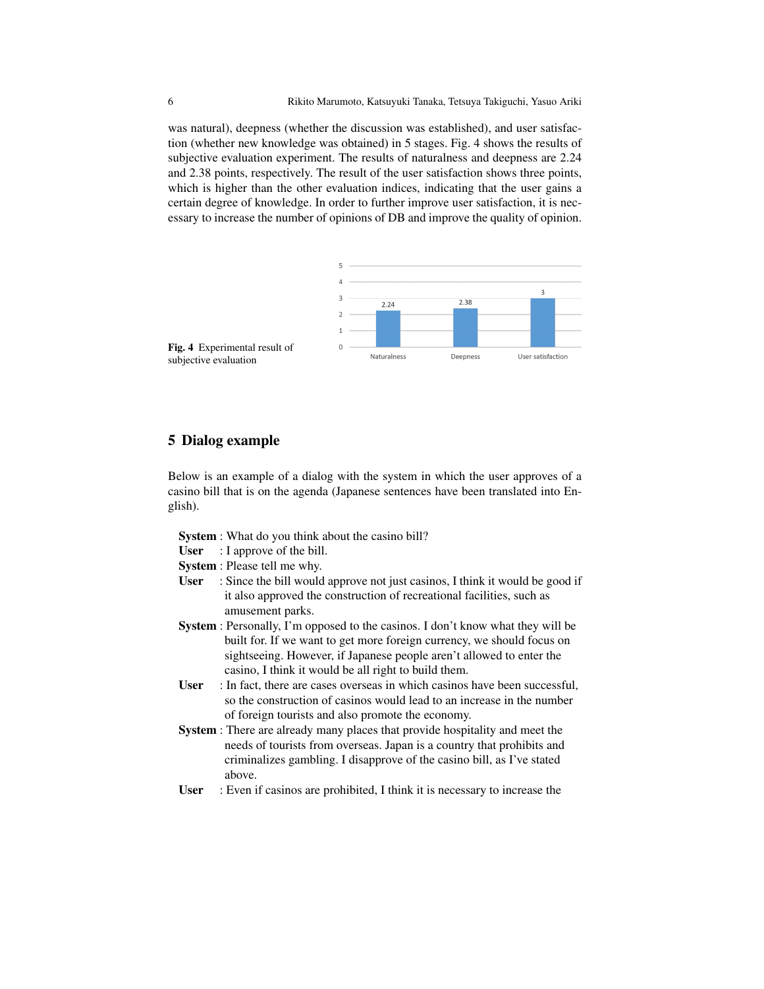was natural), deepness (whether the discussion was established), and user satisfaction (whether new knowledge was obtained) in 5 stages. Fig. 4 shows the results of subjective evaluation experiment. The results of naturalness and deepness are 2.24 and 2.38 points, respectively. The result of the user satisfaction shows three points, which is higher than the other evaluation indices, indicating that the user gains a certain degree of knowledge. In order to further improve user satisfaction, it is necessary to increase the number of opinions of DB and improve the quality of opinion.



Fig. 4 Experimental result of subjective evaluation

## 5 Dialog example

Below is an example of a dialog with the system in which the user approves of a casino bill that is on the agenda (Japanese sentences have been translated into English).

System : What do you think about the casino bill?

- User : I approve of the bill.
- System : Please tell me why.
- User : Since the bill would approve not just casinos, I think it would be good if it also approved the construction of recreational facilities, such as amusement parks.
- System : Personally, I'm opposed to the casinos. I don't know what they will be built for. If we want to get more foreign currency, we should focus on sightseeing. However, if Japanese people aren't allowed to enter the casino, I think it would be all right to build them.
- User : In fact, there are cases overseas in which casinos have been successful, so the construction of casinos would lead to an increase in the number of foreign tourists and also promote the economy.
- System : There are already many places that provide hospitality and meet the needs of tourists from overseas. Japan is a country that prohibits and criminalizes gambling. I disapprove of the casino bill, as I've stated above.
- User : Even if casinos are prohibited, I think it is necessary to increase the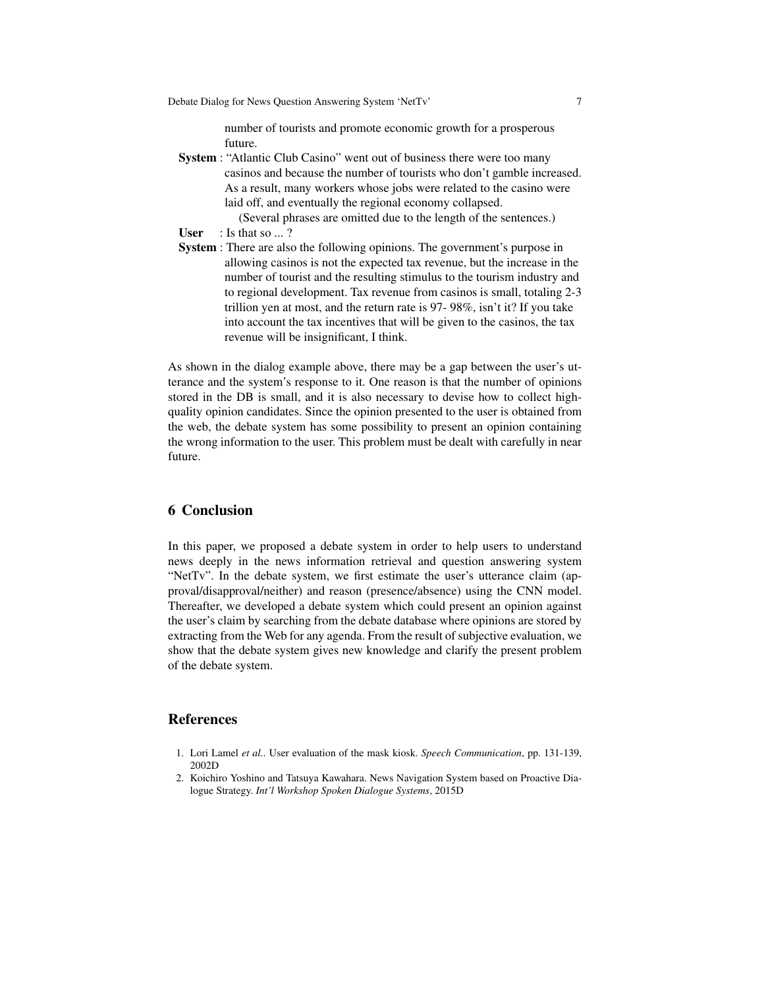number of tourists and promote economic growth for a prosperous future.

System : "Atlantic Club Casino" went out of business there were too many casinos and because the number of tourists who don't gamble increased. As a result, many workers whose jobs were related to the casino were laid off, and eventually the regional economy collapsed.

(Several phrases are omitted due to the length of the sentences.)

- User  $\therefore$  Is that so ... ?
- System : There are also the following opinions. The government's purpose in allowing casinos is not the expected tax revenue, but the increase in the number of tourist and the resulting stimulus to the tourism industry and to regional development. Tax revenue from casinos is small, totaling 2-3 trillion yen at most, and the return rate is 97- 98%, isn't it? If you take into account the tax incentives that will be given to the casinos, the tax revenue will be insignificant, I think.

As shown in the dialog example above, there may be a gap between the user's utterance and the system's response to it. One reason is that the number of opinions stored in the DB is small, and it is also necessary to devise how to collect highquality opinion candidates. Since the opinion presented to the user is obtained from the web, the debate system has some possibility to present an opinion containing the wrong information to the user. This problem must be dealt with carefully in near future.

## 6 Conclusion

In this paper, we proposed a debate system in order to help users to understand news deeply in the news information retrieval and question answering system "NetTv". In the debate system, we first estimate the user's utterance claim (approval/disapproval/neither) and reason (presence/absence) using the CNN model. Thereafter, we developed a debate system which could present an opinion against the user's claim by searching from the debate database where opinions are stored by extracting from the Web for any agenda. From the result of subjective evaluation, we show that the debate system gives new knowledge and clarify the present problem of the debate system.

#### **References**

- 1. Lori Lamel *et al.*. User evaluation of the mask kiosk. *Speech Communication*, pp. 131-139, 2002D
- 2. Koichiro Yoshino and Tatsuya Kawahara. News Navigation System based on Proactive Dialogue Strategy. *Int'l Workshop Spoken Dialogue Systems*, 2015D